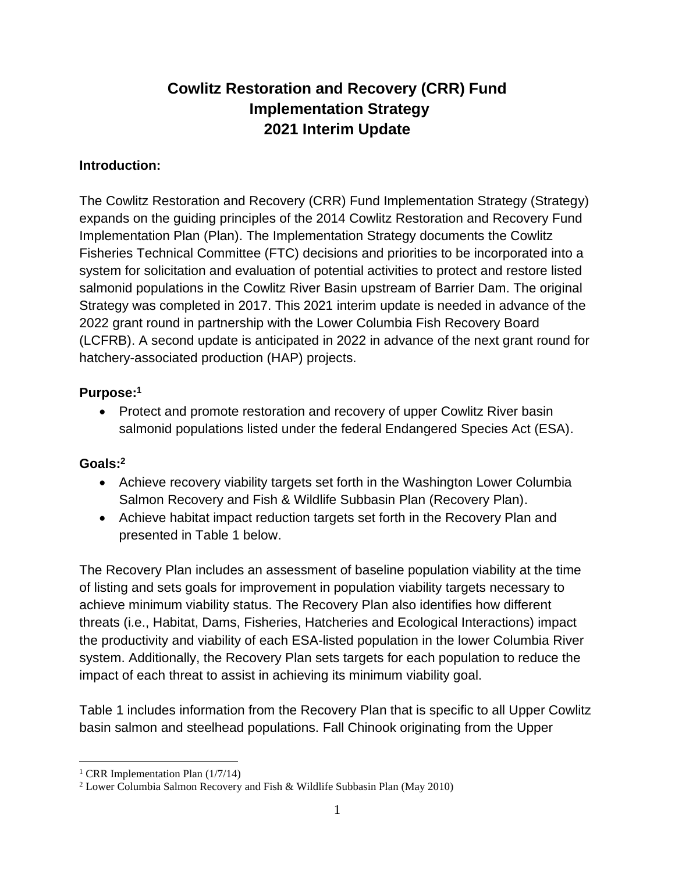# **Cowlitz Restoration and Recovery (CRR) Fund Implementation Strategy 2021 Interim Update**

#### **Introduction:**

The Cowlitz Restoration and Recovery (CRR) Fund Implementation Strategy (Strategy) expands on the guiding principles of the 2014 Cowlitz Restoration and Recovery Fund Implementation Plan (Plan). The Implementation Strategy documents the Cowlitz Fisheries Technical Committee (FTC) decisions and priorities to be incorporated into a system for solicitation and evaluation of potential activities to protect and restore listed salmonid populations in the Cowlitz River Basin upstream of Barrier Dam. The original Strategy was completed in 2017. This 2021 interim update is needed in advance of the 2022 grant round in partnership with the Lower Columbia Fish Recovery Board (LCFRB). A second update is anticipated in 2022 in advance of the next grant round for hatchery-associated production (HAP) projects.

# **Purpose:<sup>1</sup>**

• Protect and promote restoration and recovery of upper Cowlitz River basin salmonid populations listed under the federal Endangered Species Act (ESA).

# **Goals:<sup>2</sup>**

- Achieve recovery viability targets set forth in the Washington Lower Columbia Salmon Recovery and Fish & Wildlife Subbasin Plan (Recovery Plan).
- Achieve habitat impact reduction targets set forth in the Recovery Plan and presented in Table 1 below.

The Recovery Plan includes an assessment of baseline population viability at the time of listing and sets goals for improvement in population viability targets necessary to achieve minimum viability status. The Recovery Plan also identifies how different threats (i.e., Habitat, Dams, Fisheries, Hatcheries and Ecological Interactions) impact the productivity and viability of each ESA-listed population in the lower Columbia River system. Additionally, the Recovery Plan sets targets for each population to reduce the impact of each threat to assist in achieving its minimum viability goal.

Table 1 includes information from the Recovery Plan that is specific to all Upper Cowlitz basin salmon and steelhead populations. Fall Chinook originating from the Upper

<sup>&</sup>lt;sup>1</sup> CRR Implementation Plan  $(1/7/14)$ 

<sup>&</sup>lt;sup>2</sup> Lower Columbia Salmon Recovery and Fish & Wildlife Subbasin Plan (May 2010)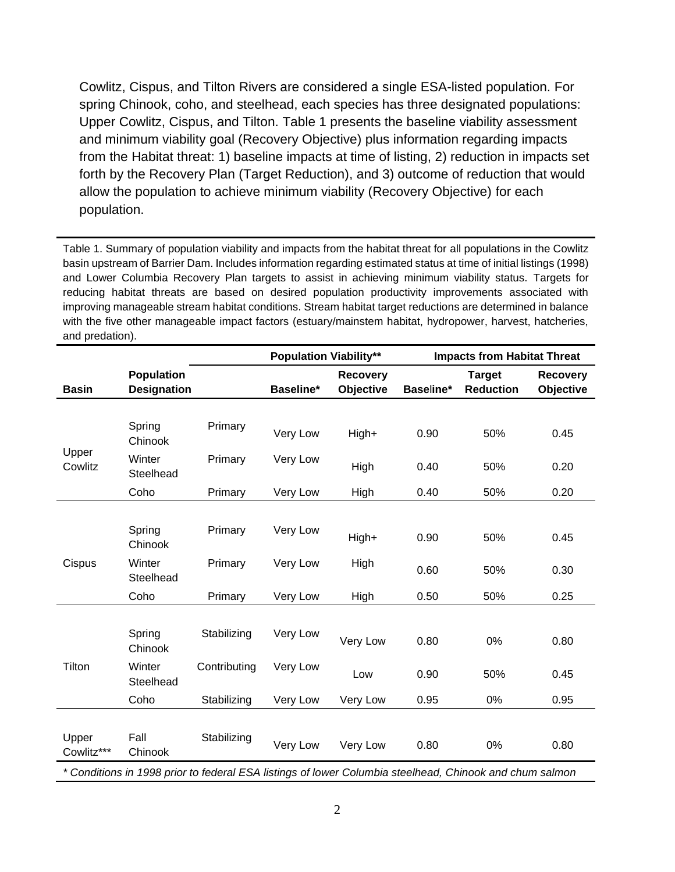Cowlitz, Cispus, and Tilton Rivers are considered a single ESA-listed population. For spring Chinook, coho, and steelhead, each species has three designated populations: Upper Cowlitz, Cispus, and Tilton. Table 1 presents the baseline viability assessment and minimum viability goal (Recovery Objective) plus information regarding impacts from the Habitat threat: 1) baseline impacts at time of listing, 2) reduction in impacts set forth by the Recovery Plan (Target Reduction), and 3) outcome of reduction that would allow the population to achieve minimum viability (Recovery Objective) for each population.

Table 1. Summary of population viability and impacts from the habitat threat for all populations in the Cowlitz basin upstream of Barrier Dam. Includes information regarding estimated status at time of initial listings (1998) and Lower Columbia Recovery Plan targets to assist in achieving minimum viability status. Targets for reducing habitat threats are based on desired population productivity improvements associated with improving manageable stream habitat conditions. Stream habitat target reductions are determined in balance with the five other manageable impact factors (estuary/mainstem habitat, hydropower, harvest, hatcheries, and predation).

|                                                                                                         |                     |              | <b>Population Viability**</b> |                  | <b>Impacts from Habitat Threat</b> |                  |                 |
|---------------------------------------------------------------------------------------------------------|---------------------|--------------|-------------------------------|------------------|------------------------------------|------------------|-----------------|
|                                                                                                         | <b>Population</b>   |              |                               | <b>Recovery</b>  |                                    | <b>Target</b>    | <b>Recovery</b> |
| <b>Basin</b>                                                                                            | <b>Designation</b>  |              | Baseline*                     | <b>Objective</b> | Baseline*                          | <b>Reduction</b> | Objective       |
|                                                                                                         |                     |              |                               |                  |                                    |                  |                 |
| Upper<br>Cowlitz                                                                                        | Spring<br>Chinook   | Primary      | Very Low                      | High+            | 0.90                               | 50%              | 0.45            |
|                                                                                                         | Winter<br>Steelhead | Primary      | Very Low                      | High             | 0.40                               | 50%              | 0.20            |
|                                                                                                         | Coho                | Primary      | Very Low                      | High             | 0.40                               | 50%              | 0.20            |
|                                                                                                         |                     |              |                               |                  |                                    |                  |                 |
| Cispus                                                                                                  | Spring<br>Chinook   | Primary      | Very Low                      | High+            | 0.90                               | 50%              | 0.45            |
|                                                                                                         | Winter<br>Steelhead | Primary      | Very Low                      | High             | 0.60                               | 50%              | 0.30            |
|                                                                                                         | Coho                | Primary      | Very Low                      | High             | 0.50                               | 50%              | 0.25            |
|                                                                                                         |                     |              |                               |                  |                                    |                  |                 |
| Tilton                                                                                                  | Spring<br>Chinook   | Stabilizing  | Very Low                      | Very Low         | 0.80                               | 0%               | 0.80            |
|                                                                                                         | Winter<br>Steelhead | Contributing | Very Low                      | Low              | 0.90                               | 50%              | 0.45            |
|                                                                                                         | Coho                | Stabilizing  | Very Low                      | Very Low         | 0.95                               | 0%               | 0.95            |
|                                                                                                         |                     |              |                               |                  |                                    |                  |                 |
| Upper<br>Cowlitz***                                                                                     | Fall<br>Chinook     | Stabilizing  | Very Low                      | Very Low         | 0.80                               | 0%               | 0.80            |
| * Conditions in 1998 prior to federal ESA listings of lower Columbia steelhead, Chinook and chum salmon |                     |              |                               |                  |                                    |                  |                 |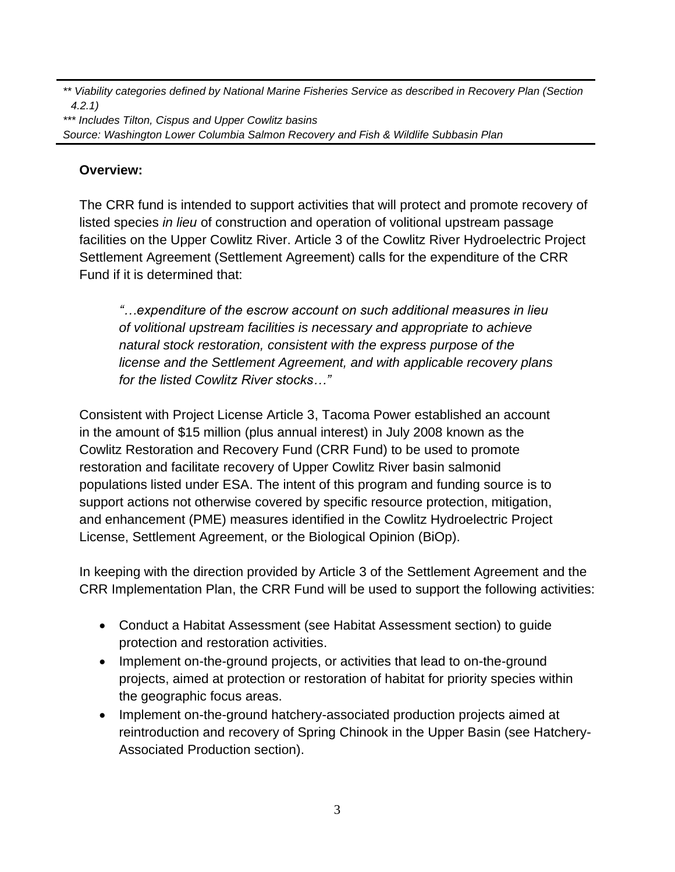*\*\* Viability categories defined by National Marine Fisheries Service as described in Recovery Plan (Section 4.2.1)*

*\*\*\* Includes Tilton, Cispus and Upper Cowlitz basins Source: Washington Lower Columbia Salmon Recovery and Fish & Wildlife Subbasin Plan*

### **Overview:**

The CRR fund is intended to support activities that will protect and promote recovery of listed species *in lieu* of construction and operation of volitional upstream passage facilities on the Upper Cowlitz River. Article 3 of the Cowlitz River Hydroelectric Project Settlement Agreement (Settlement Agreement) calls for the expenditure of the CRR Fund if it is determined that:

*"…expenditure of the escrow account on such additional measures in lieu of volitional upstream facilities is necessary and appropriate to achieve natural stock restoration, consistent with the express purpose of the license and the Settlement Agreement, and with applicable recovery plans for the listed Cowlitz River stocks…"*

Consistent with Project License Article 3, Tacoma Power established an account in the amount of \$15 million (plus annual interest) in July 2008 known as the Cowlitz Restoration and Recovery Fund (CRR Fund) to be used to promote restoration and facilitate recovery of Upper Cowlitz River basin salmonid populations listed under ESA. The intent of this program and funding source is to support actions not otherwise covered by specific resource protection, mitigation, and enhancement (PME) measures identified in the Cowlitz Hydroelectric Project License, Settlement Agreement, or the Biological Opinion (BiOp).

In keeping with the direction provided by Article 3 of the Settlement Agreement and the CRR Implementation Plan, the CRR Fund will be used to support the following activities:

- Conduct a Habitat Assessment (see Habitat Assessment section) to guide protection and restoration activities.
- Implement on-the-ground projects, or activities that lead to on-the-ground projects, aimed at protection or restoration of habitat for priority species within the geographic focus areas.
- Implement on-the-ground hatchery-associated production projects aimed at reintroduction and recovery of Spring Chinook in the Upper Basin (see Hatchery-Associated Production section).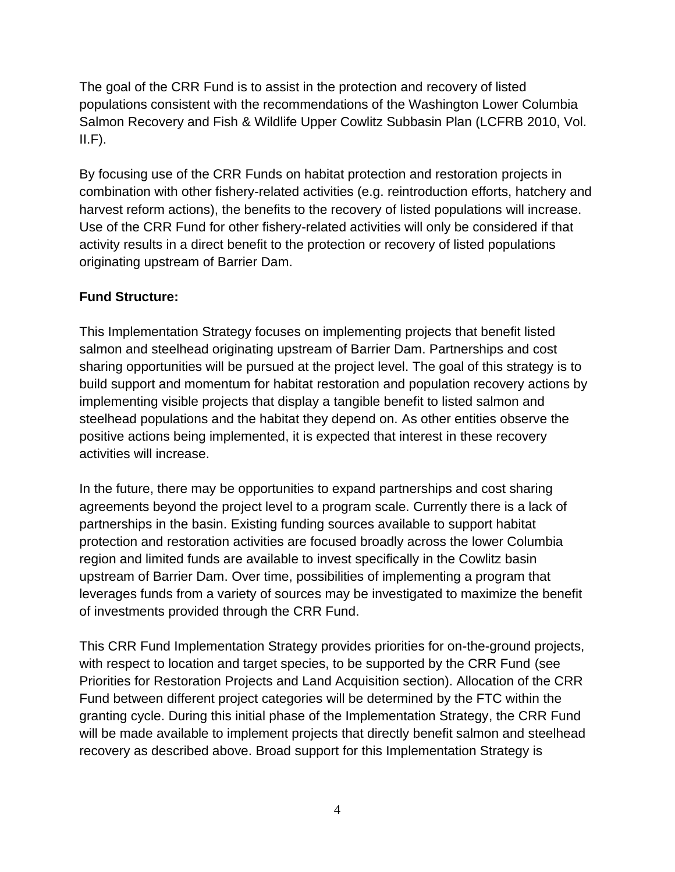The goal of the CRR Fund is to assist in the protection and recovery of listed populations consistent with the recommendations of the Washington Lower Columbia Salmon Recovery and Fish & Wildlife Upper Cowlitz Subbasin Plan (LCFRB 2010, Vol.  $II.F$ ).

By focusing use of the CRR Funds on habitat protection and restoration projects in combination with other fishery-related activities (e.g. reintroduction efforts, hatchery and harvest reform actions), the benefits to the recovery of listed populations will increase. Use of the CRR Fund for other fishery-related activities will only be considered if that activity results in a direct benefit to the protection or recovery of listed populations originating upstream of Barrier Dam.

# **Fund Structure:**

This Implementation Strategy focuses on implementing projects that benefit listed salmon and steelhead originating upstream of Barrier Dam. Partnerships and cost sharing opportunities will be pursued at the project level. The goal of this strategy is to build support and momentum for habitat restoration and population recovery actions by implementing visible projects that display a tangible benefit to listed salmon and steelhead populations and the habitat they depend on. As other entities observe the positive actions being implemented, it is expected that interest in these recovery activities will increase.

In the future, there may be opportunities to expand partnerships and cost sharing agreements beyond the project level to a program scale. Currently there is a lack of partnerships in the basin. Existing funding sources available to support habitat protection and restoration activities are focused broadly across the lower Columbia region and limited funds are available to invest specifically in the Cowlitz basin upstream of Barrier Dam. Over time, possibilities of implementing a program that leverages funds from a variety of sources may be investigated to maximize the benefit of investments provided through the CRR Fund.

This CRR Fund Implementation Strategy provides priorities for on-the-ground projects, with respect to location and target species, to be supported by the CRR Fund (see Priorities for Restoration Projects and Land Acquisition section). Allocation of the CRR Fund between different project categories will be determined by the FTC within the granting cycle. During this initial phase of the Implementation Strategy, the CRR Fund will be made available to implement projects that directly benefit salmon and steelhead recovery as described above. Broad support for this Implementation Strategy is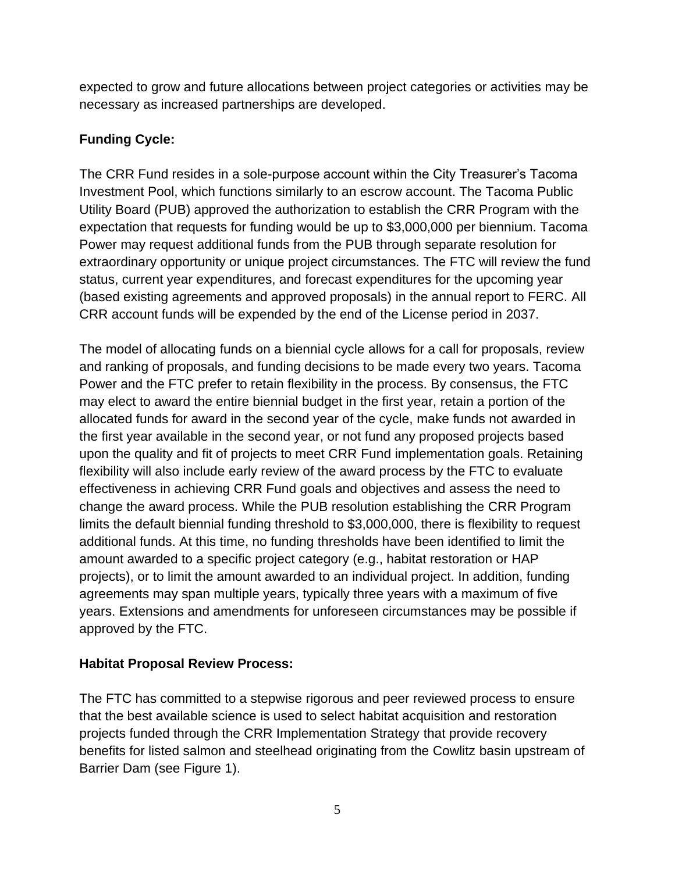expected to grow and future allocations between project categories or activities may be necessary as increased partnerships are developed.

# **Funding Cycle:**

The CRR Fund resides in a sole-purpose account within the City Treasurer's Tacoma Investment Pool, which functions similarly to an escrow account. The Tacoma Public Utility Board (PUB) approved the authorization to establish the CRR Program with the expectation that requests for funding would be up to \$3,000,000 per biennium. Tacoma Power may request additional funds from the PUB through separate resolution for extraordinary opportunity or unique project circumstances. The FTC will review the fund status, current year expenditures, and forecast expenditures for the upcoming year (based existing agreements and approved proposals) in the annual report to FERC. All CRR account funds will be expended by the end of the License period in 2037.

The model of allocating funds on a biennial cycle allows for a call for proposals, review and ranking of proposals, and funding decisions to be made every two years. Tacoma Power and the FTC prefer to retain flexibility in the process. By consensus, the FTC may elect to award the entire biennial budget in the first year, retain a portion of the allocated funds for award in the second year of the cycle, make funds not awarded in the first year available in the second year, or not fund any proposed projects based upon the quality and fit of projects to meet CRR Fund implementation goals. Retaining flexibility will also include early review of the award process by the FTC to evaluate effectiveness in achieving CRR Fund goals and objectives and assess the need to change the award process. While the PUB resolution establishing the CRR Program limits the default biennial funding threshold to \$3,000,000, there is flexibility to request additional funds. At this time, no funding thresholds have been identified to limit the amount awarded to a specific project category (e.g., habitat restoration or HAP projects), or to limit the amount awarded to an individual project. In addition, funding agreements may span multiple years, typically three years with a maximum of five years. Extensions and amendments for unforeseen circumstances may be possible if approved by the FTC.

# **Habitat Proposal Review Process:**

The FTC has committed to a stepwise rigorous and peer reviewed process to ensure that the best available science is used to select habitat acquisition and restoration projects funded through the CRR Implementation Strategy that provide recovery benefits for listed salmon and steelhead originating from the Cowlitz basin upstream of Barrier Dam (see Figure 1).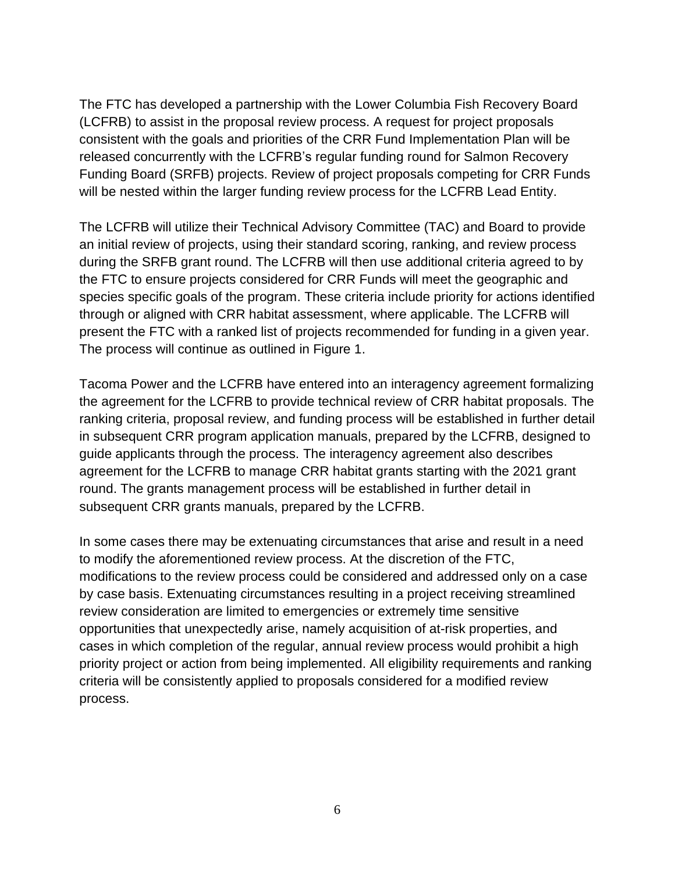The FTC has developed a partnership with the Lower Columbia Fish Recovery Board (LCFRB) to assist in the proposal review process. A request for project proposals consistent with the goals and priorities of the CRR Fund Implementation Plan will be released concurrently with the LCFRB's regular funding round for Salmon Recovery Funding Board (SRFB) projects. Review of project proposals competing for CRR Funds will be nested within the larger funding review process for the LCFRB Lead Entity.

The LCFRB will utilize their Technical Advisory Committee (TAC) and Board to provide an initial review of projects, using their standard scoring, ranking, and review process during the SRFB grant round. The LCFRB will then use additional criteria agreed to by the FTC to ensure projects considered for CRR Funds will meet the geographic and species specific goals of the program. These criteria include priority for actions identified through or aligned with CRR habitat assessment, where applicable. The LCFRB will present the FTC with a ranked list of projects recommended for funding in a given year. The process will continue as outlined in Figure 1.

Tacoma Power and the LCFRB have entered into an interagency agreement formalizing the agreement for the LCFRB to provide technical review of CRR habitat proposals. The ranking criteria, proposal review, and funding process will be established in further detail in subsequent CRR program application manuals, prepared by the LCFRB, designed to guide applicants through the process. The interagency agreement also describes agreement for the LCFRB to manage CRR habitat grants starting with the 2021 grant round. The grants management process will be established in further detail in subsequent CRR grants manuals, prepared by the LCFRB.

In some cases there may be extenuating circumstances that arise and result in a need to modify the aforementioned review process. At the discretion of the FTC, modifications to the review process could be considered and addressed only on a case by case basis. Extenuating circumstances resulting in a project receiving streamlined review consideration are limited to emergencies or extremely time sensitive opportunities that unexpectedly arise, namely acquisition of at-risk properties, and cases in which completion of the regular, annual review process would prohibit a high priority project or action from being implemented. All eligibility requirements and ranking criteria will be consistently applied to proposals considered for a modified review process.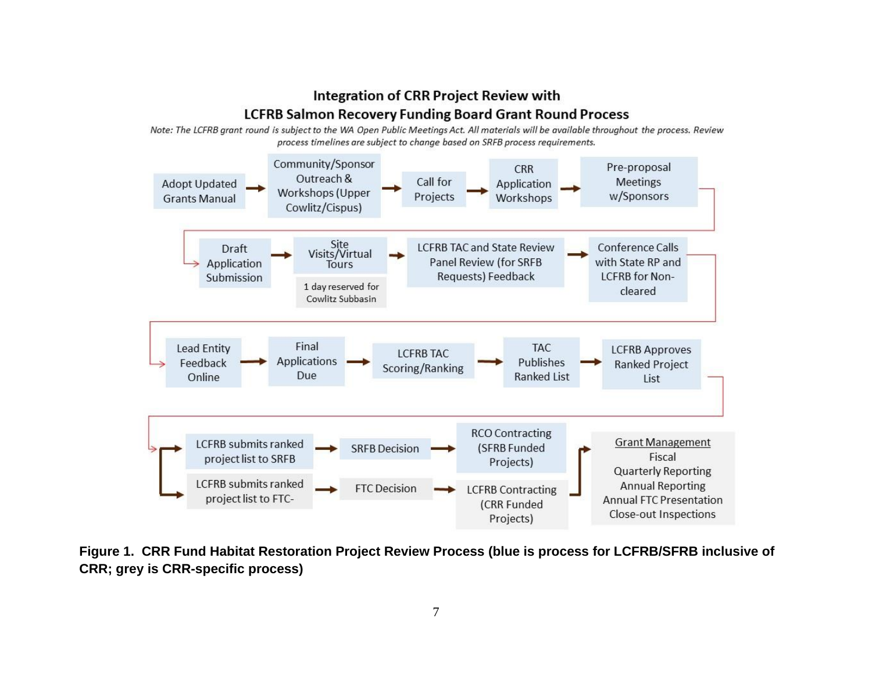# **Integration of CRR Project Review with LCFRB Salmon Recovery Funding Board Grant Round Process**

Note: The LCFRB grant round is subject to the WA Open Public Meetings Act. All materials will be available throughout the process. Review process timelines are subject to change based on SRFB process requirements.



**Figure 1. CRR Fund Habitat Restoration Project Review Process (blue is process for LCFRB/SFRB inclusive of CRR; grey is CRR-specific process)**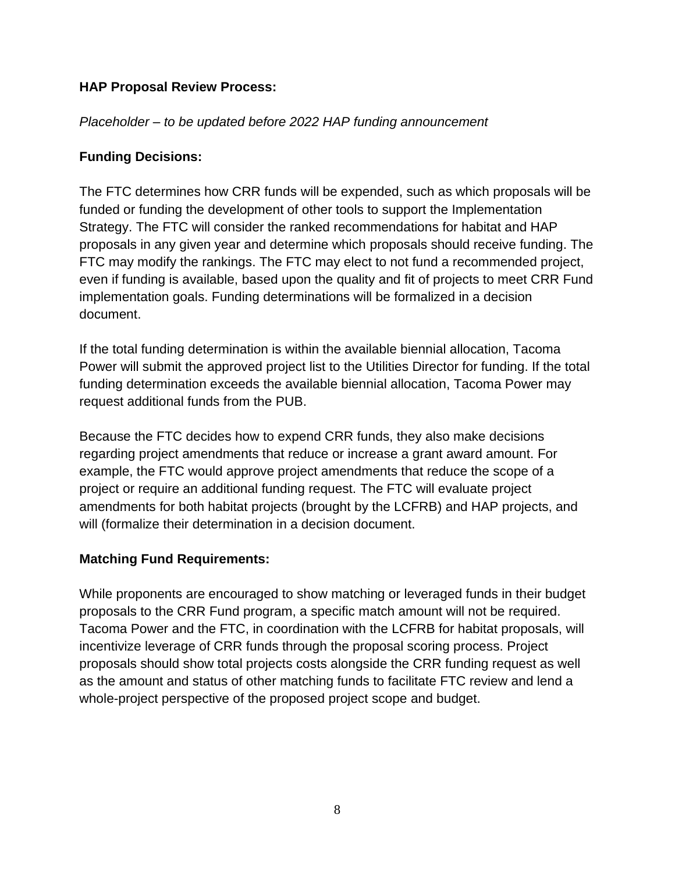#### **HAP Proposal Review Process:**

#### *Placeholder – to be updated before 2022 HAP funding announcement*

# **Funding Decisions:**

The FTC determines how CRR funds will be expended, such as which proposals will be funded or funding the development of other tools to support the Implementation Strategy. The FTC will consider the ranked recommendations for habitat and HAP proposals in any given year and determine which proposals should receive funding. The FTC may modify the rankings. The FTC may elect to not fund a recommended project, even if funding is available, based upon the quality and fit of projects to meet CRR Fund implementation goals. Funding determinations will be formalized in a decision document.

If the total funding determination is within the available biennial allocation, Tacoma Power will submit the approved project list to the Utilities Director for funding. If the total funding determination exceeds the available biennial allocation, Tacoma Power may request additional funds from the PUB.

Because the FTC decides how to expend CRR funds, they also make decisions regarding project amendments that reduce or increase a grant award amount. For example, the FTC would approve project amendments that reduce the scope of a project or require an additional funding request. The FTC will evaluate project amendments for both habitat projects (brought by the LCFRB) and HAP projects, and will (formalize their determination in a decision document.

#### **Matching Fund Requirements:**

While proponents are encouraged to show matching or leveraged funds in their budget proposals to the CRR Fund program, a specific match amount will not be required. Tacoma Power and the FTC, in coordination with the LCFRB for habitat proposals, will incentivize leverage of CRR funds through the proposal scoring process. Project proposals should show total projects costs alongside the CRR funding request as well as the amount and status of other matching funds to facilitate FTC review and lend a whole-project perspective of the proposed project scope and budget.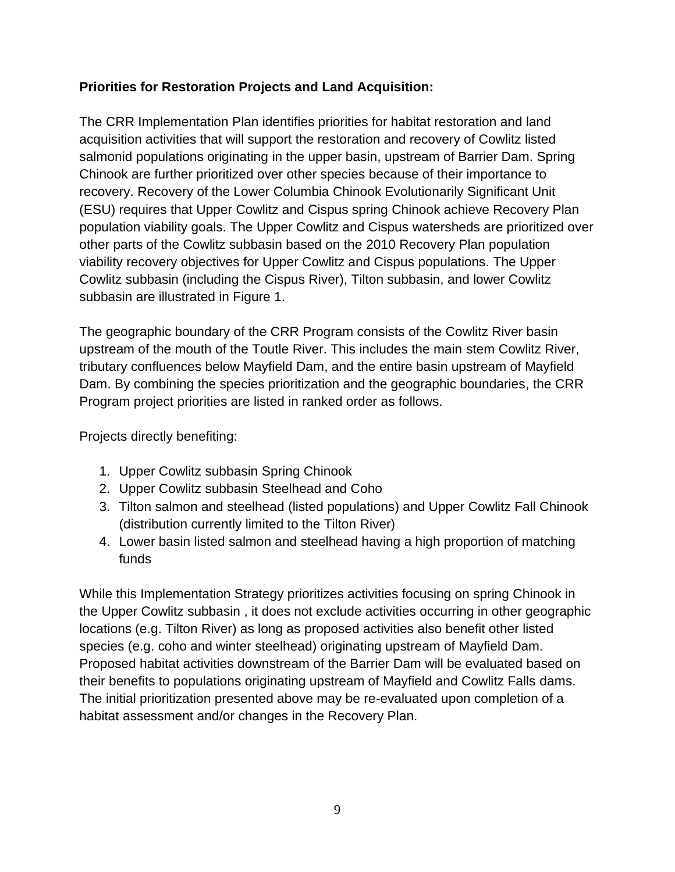# **Priorities for Restoration Projects and Land Acquisition:**

The CRR Implementation Plan identifies priorities for habitat restoration and land acquisition activities that will support the restoration and recovery of Cowlitz listed salmonid populations originating in the upper basin, upstream of Barrier Dam. Spring Chinook are further prioritized over other species because of their importance to recovery. Recovery of the Lower Columbia Chinook Evolutionarily Significant Unit (ESU) requires that Upper Cowlitz and Cispus spring Chinook achieve Recovery Plan population viability goals. The Upper Cowlitz and Cispus watersheds are prioritized over other parts of the Cowlitz subbasin based on the 2010 Recovery Plan population viability recovery objectives for Upper Cowlitz and Cispus populations. The Upper Cowlitz subbasin (including the Cispus River), Tilton subbasin, and lower Cowlitz subbasin are illustrated in Figure 1.

The geographic boundary of the CRR Program consists of the Cowlitz River basin upstream of the mouth of the Toutle River. This includes the main stem Cowlitz River, tributary confluences below Mayfield Dam, and the entire basin upstream of Mayfield Dam. By combining the species prioritization and the geographic boundaries, the CRR Program project priorities are listed in ranked order as follows.

Projects directly benefiting:

- 1. Upper Cowlitz subbasin Spring Chinook
- 2. Upper Cowlitz subbasin Steelhead and Coho
- 3. Tilton salmon and steelhead (listed populations) and Upper Cowlitz Fall Chinook (distribution currently limited to the Tilton River)
- 4. Lower basin listed salmon and steelhead having a high proportion of matching funds

While this Implementation Strategy prioritizes activities focusing on spring Chinook in the Upper Cowlitz subbasin , it does not exclude activities occurring in other geographic locations (e.g. Tilton River) as long as proposed activities also benefit other listed species (e.g. coho and winter steelhead) originating upstream of Mayfield Dam. Proposed habitat activities downstream of the Barrier Dam will be evaluated based on their benefits to populations originating upstream of Mayfield and Cowlitz Falls dams. The initial prioritization presented above may be re-evaluated upon completion of a habitat assessment and/or changes in the Recovery Plan.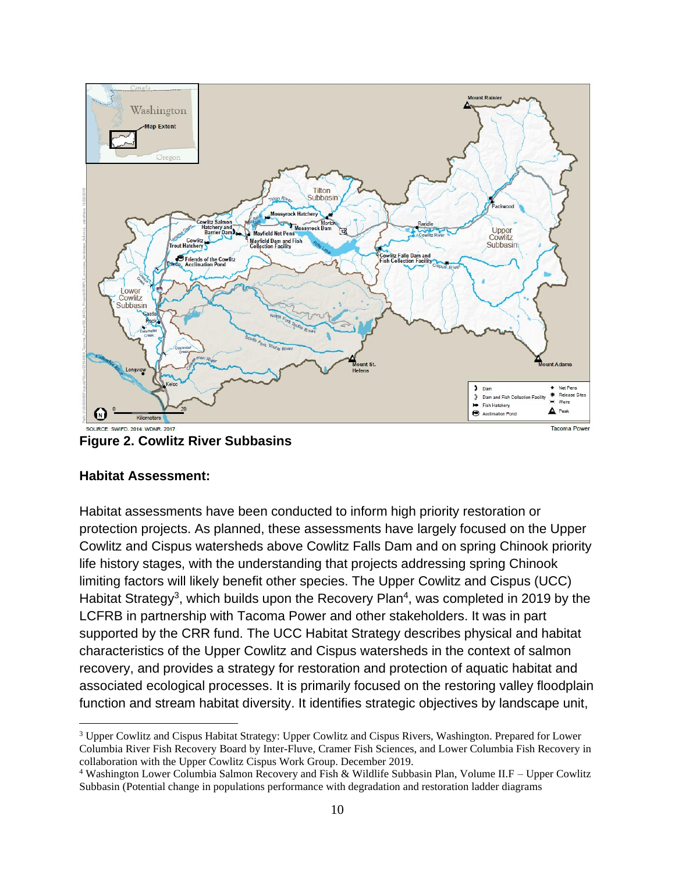

**Figure 2. Cowlitz River Subbasins**

#### **Habitat Assessment:**

Habitat assessments have been conducted to inform high priority restoration or protection projects. As planned, these assessments have largely focused on the Upper Cowlitz and Cispus watersheds above Cowlitz Falls Dam and on spring Chinook priority life history stages, with the understanding that projects addressing spring Chinook limiting factors will likely benefit other species. The Upper Cowlitz and Cispus (UCC) Habitat Strategy<sup>3</sup>, which builds upon the Recovery Plan<sup>4</sup>, was completed in 2019 by the LCFRB in partnership with Tacoma Power and other stakeholders. It was in part supported by the CRR fund. The UCC Habitat Strategy describes physical and habitat characteristics of the Upper Cowlitz and Cispus watersheds in the context of salmon recovery, and provides a strategy for restoration and protection of aquatic habitat and associated ecological processes. It is primarily focused on the restoring valley floodplain function and stream habitat diversity. It identifies strategic objectives by landscape unit,

<sup>&</sup>lt;sup>3</sup> Upper Cowlitz and Cispus Habitat Strategy: Upper Cowlitz and Cispus Rivers, Washington. Prepared for Lower Columbia River Fish Recovery Board by Inter-Fluve, Cramer Fish Sciences, and Lower Columbia Fish Recovery in collaboration with the Upper Cowlitz Cispus Work Group. December 2019.

<sup>4</sup> Washington Lower Columbia Salmon Recovery and Fish & Wildlife Subbasin Plan, Volume II.F – Upper Cowlitz Subbasin (Potential change in populations performance with degradation and restoration ladder diagrams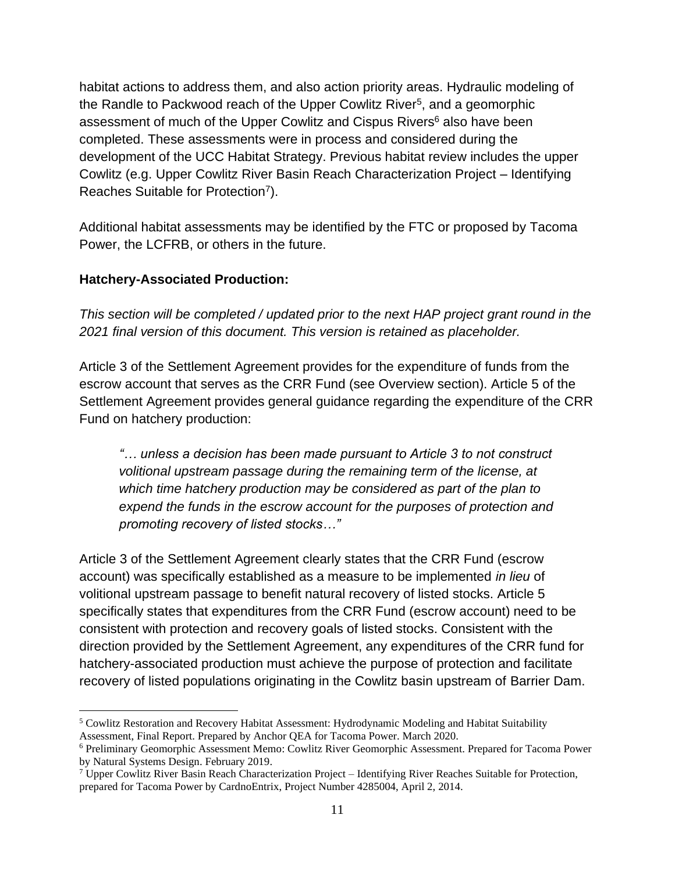habitat actions to address them, and also action priority areas. Hydraulic modeling of the Randle to Packwood reach of the Upper Cowlitz River<sup>5</sup>, and a geomorphic assessment of much of the Upper Cowlitz and Cispus Rivers<sup>6</sup> also have been completed. These assessments were in process and considered during the development of the UCC Habitat Strategy. Previous habitat review includes the upper Cowlitz (e.g. Upper Cowlitz River Basin Reach Characterization Project – Identifying Reaches Suitable for Protection<sup>7</sup>).

Additional habitat assessments may be identified by the FTC or proposed by Tacoma Power, the LCFRB, or others in the future.

#### **Hatchery-Associated Production:**

*This section will be completed / updated prior to the next HAP project grant round in the 2021 final version of this document. This version is retained as placeholder.*

Article 3 of the Settlement Agreement provides for the expenditure of funds from the escrow account that serves as the CRR Fund (see Overview section). Article 5 of the Settlement Agreement provides general guidance regarding the expenditure of the CRR Fund on hatchery production:

*"… unless a decision has been made pursuant to Article 3 to not construct volitional upstream passage during the remaining term of the license, at which time hatchery production may be considered as part of the plan to expend the funds in the escrow account for the purposes of protection and promoting recovery of listed stocks…"*

Article 3 of the Settlement Agreement clearly states that the CRR Fund (escrow account) was specifically established as a measure to be implemented *in lieu* of volitional upstream passage to benefit natural recovery of listed stocks. Article 5 specifically states that expenditures from the CRR Fund (escrow account) need to be consistent with protection and recovery goals of listed stocks. Consistent with the direction provided by the Settlement Agreement, any expenditures of the CRR fund for hatchery-associated production must achieve the purpose of protection and facilitate recovery of listed populations originating in the Cowlitz basin upstream of Barrier Dam.

<sup>5</sup> Cowlitz Restoration and Recovery Habitat Assessment: Hydrodynamic Modeling and Habitat Suitability Assessment, Final Report. Prepared by Anchor QEA for Tacoma Power. March 2020.

<sup>6</sup> Preliminary Geomorphic Assessment Memo: Cowlitz River Geomorphic Assessment. Prepared for Tacoma Power by Natural Systems Design. February 2019.

<sup>&</sup>lt;sup>7</sup> Upper Cowlitz River Basin Reach Characterization Project – Identifying River Reaches Suitable for Protection, prepared for Tacoma Power by CardnoEntrix, Project Number 4285004, April 2, 2014.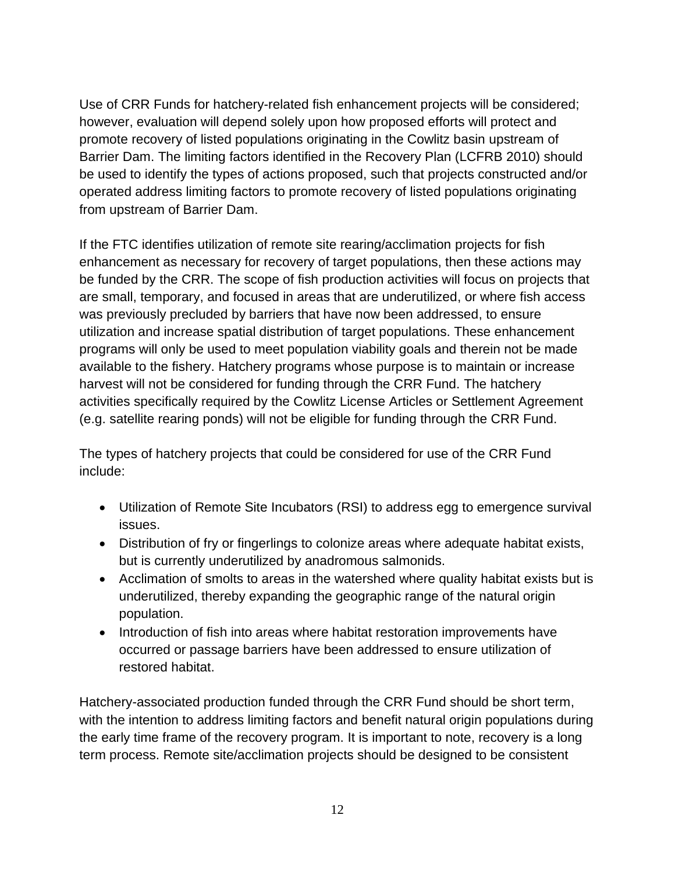Use of CRR Funds for hatchery-related fish enhancement projects will be considered; however, evaluation will depend solely upon how proposed efforts will protect and promote recovery of listed populations originating in the Cowlitz basin upstream of Barrier Dam. The limiting factors identified in the Recovery Plan (LCFRB 2010) should be used to identify the types of actions proposed, such that projects constructed and/or operated address limiting factors to promote recovery of listed populations originating from upstream of Barrier Dam.

If the FTC identifies utilization of remote site rearing/acclimation projects for fish enhancement as necessary for recovery of target populations, then these actions may be funded by the CRR. The scope of fish production activities will focus on projects that are small, temporary, and focused in areas that are underutilized, or where fish access was previously precluded by barriers that have now been addressed, to ensure utilization and increase spatial distribution of target populations. These enhancement programs will only be used to meet population viability goals and therein not be made available to the fishery. Hatchery programs whose purpose is to maintain or increase harvest will not be considered for funding through the CRR Fund. The hatchery activities specifically required by the Cowlitz License Articles or Settlement Agreement (e.g. satellite rearing ponds) will not be eligible for funding through the CRR Fund.

The types of hatchery projects that could be considered for use of the CRR Fund include:

- Utilization of Remote Site Incubators (RSI) to address egg to emergence survival issues.
- Distribution of fry or fingerlings to colonize areas where adequate habitat exists, but is currently underutilized by anadromous salmonids.
- Acclimation of smolts to areas in the watershed where quality habitat exists but is underutilized, thereby expanding the geographic range of the natural origin population.
- Introduction of fish into areas where habitat restoration improvements have occurred or passage barriers have been addressed to ensure utilization of restored habitat.

Hatchery-associated production funded through the CRR Fund should be short term, with the intention to address limiting factors and benefit natural origin populations during the early time frame of the recovery program. It is important to note, recovery is a long term process. Remote site/acclimation projects should be designed to be consistent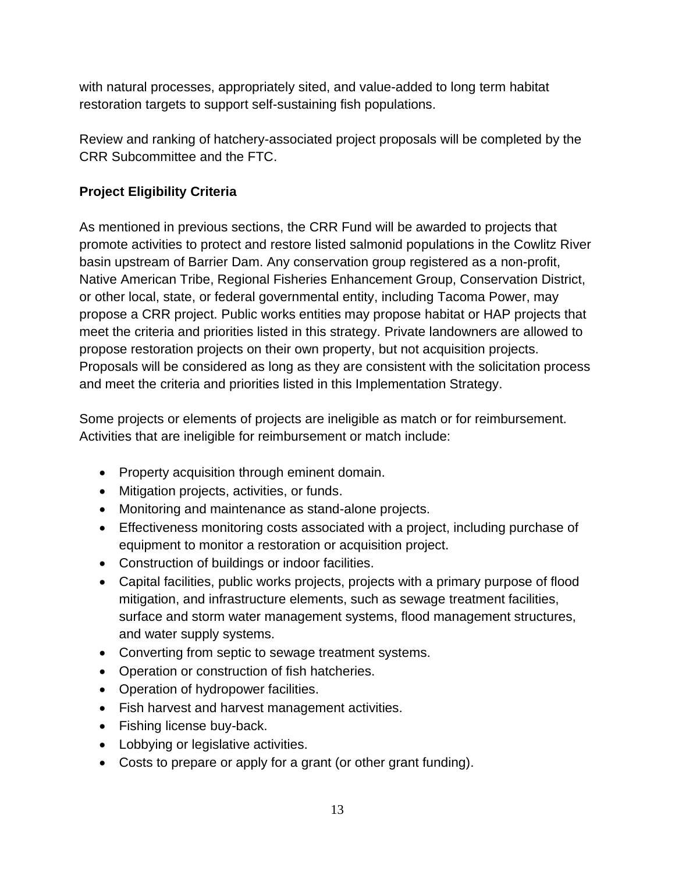with natural processes, appropriately sited, and value-added to long term habitat restoration targets to support self-sustaining fish populations.

Review and ranking of hatchery-associated project proposals will be completed by the CRR Subcommittee and the FTC.

# **Project Eligibility Criteria**

As mentioned in previous sections, the CRR Fund will be awarded to projects that promote activities to protect and restore listed salmonid populations in the Cowlitz River basin upstream of Barrier Dam. Any conservation group registered as a non-profit, Native American Tribe, Regional Fisheries Enhancement Group, Conservation District, or other local, state, or federal governmental entity, including Tacoma Power, may propose a CRR project. Public works entities may propose habitat or HAP projects that meet the criteria and priorities listed in this strategy. Private landowners are allowed to propose restoration projects on their own property, but not acquisition projects. Proposals will be considered as long as they are consistent with the solicitation process and meet the criteria and priorities listed in this Implementation Strategy.

Some projects or elements of projects are ineligible as match or for reimbursement. Activities that are ineligible for reimbursement or match include:

- Property acquisition through eminent domain.
- Mitigation projects, activities, or funds.
- Monitoring and maintenance as stand-alone projects.
- Effectiveness monitoring costs associated with a project, including purchase of equipment to monitor a restoration or acquisition project.
- Construction of buildings or indoor facilities.
- Capital facilities, public works projects, projects with a primary purpose of flood mitigation, and infrastructure elements, such as sewage treatment facilities, surface and storm water management systems, flood management structures, and water supply systems.
- Converting from septic to sewage treatment systems.
- Operation or construction of fish hatcheries.
- Operation of hydropower facilities.
- Fish harvest and harvest management activities.
- Fishing license buy-back.
- Lobbying or legislative activities.
- Costs to prepare or apply for a grant (or other grant funding).